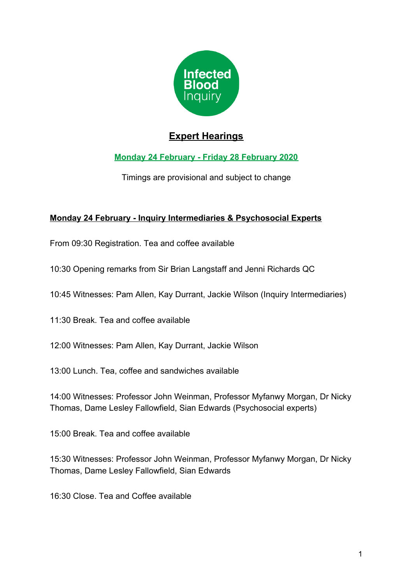

# **Expert Hearings**

## **Monday 24 February - Friday 28 February 2020**

Timings are provisional and subject to change

### **Monday 24 February - Inquiry Intermediaries & Psychosocial Experts**

From 09:30 Registration. Tea and coffee available

- 10:30 Opening remarks from Sir Brian Langstaff and Jenni Richards QC
- 10:45 Witnesses: Pam Allen, Kay Durrant, Jackie Wilson (Inquiry Intermediaries)
- 11:30 Break. Tea and coffee available
- 12:00 Witnesses: Pam Allen, Kay Durrant, Jackie Wilson
- 13:00 Lunch. Tea, coffee and sandwiches available

14:00 Witnesses: Professor John Weinman, Professor Myfanwy Morgan, Dr Nicky Thomas, Dame Lesley Fallowfield, Sian Edwards (Psychosocial experts)

15:00 Break. Tea and coffee available

15:30 Witnesses: Professor John Weinman, Professor Myfanwy Morgan, Dr Nicky Thomas, Dame Lesley Fallowfield, Sian Edwards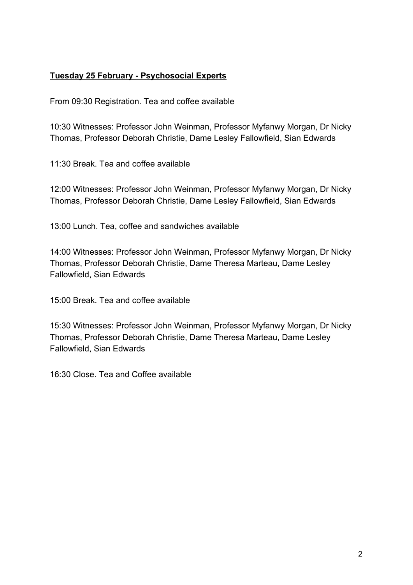#### **Tuesday 25 February - Psychosocial Experts**

From 09:30 Registration. Tea and coffee available

10:30 Witnesses: Professor John Weinman, Professor Myfanwy Morgan, Dr Nicky Thomas, Professor Deborah Christie, Dame Lesley Fallowfield, Sian Edwards

11:30 Break. Tea and coffee available

12:00 Witnesses: Professor John Weinman, Professor Myfanwy Morgan, Dr Nicky Thomas, Professor Deborah Christie, Dame Lesley Fallowfield, Sian Edwards

13:00 Lunch. Tea, coffee and sandwiches available

14:00 Witnesses: Professor John Weinman, Professor Myfanwy Morgan, Dr Nicky Thomas, Professor Deborah Christie, Dame Theresa Marteau, Dame Lesley Fallowfield, Sian Edwards

15:00 Break. Tea and coffee available

15:30 Witnesses: Professor John Weinman, Professor Myfanwy Morgan, Dr Nicky Thomas, Professor Deborah Christie, Dame Theresa Marteau, Dame Lesley Fallowfield, Sian Edwards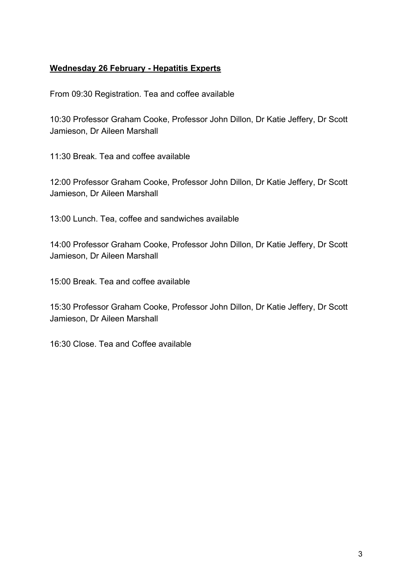#### **Wednesday 26 February - Hepatitis Experts**

From 09:30 Registration. Tea and coffee available

10:30 Professor Graham Cooke, Professor John Dillon, Dr Katie Jeffery, Dr Scott Jamieson, Dr Aileen Marshall

11:30 Break. Tea and coffee available

12:00 Professor Graham Cooke, Professor John Dillon, Dr Katie Jeffery, Dr Scott Jamieson, Dr Aileen Marshall

13:00 Lunch. Tea, coffee and sandwiches available

14:00 Professor Graham Cooke, Professor John Dillon, Dr Katie Jeffery, Dr Scott Jamieson, Dr Aileen Marshall

15:00 Break. Tea and coffee available

15:30 Professor Graham Cooke, Professor John Dillon, Dr Katie Jeffery, Dr Scott Jamieson, Dr Aileen Marshall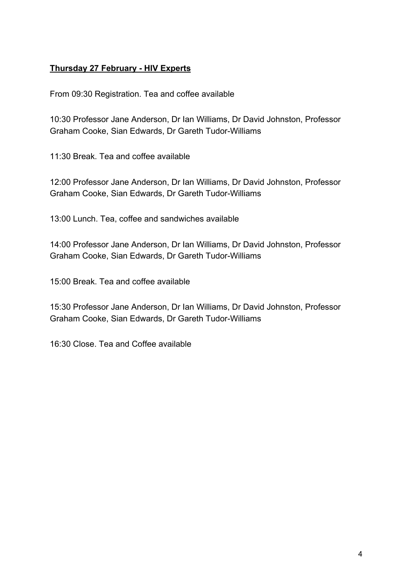#### **Thursday 27 February - HIV Experts**

From 09:30 Registration. Tea and coffee available

10:30 Professor Jane Anderson, Dr Ian Williams, Dr David Johnston, Professor Graham Cooke, Sian Edwards, Dr Gareth Tudor-Williams

11:30 Break. Tea and coffee available

12:00 Professor Jane Anderson, Dr Ian Williams, Dr David Johnston, Professor Graham Cooke, Sian Edwards, Dr Gareth Tudor-Williams

13:00 Lunch. Tea, coffee and sandwiches available

14:00 Professor Jane Anderson, Dr Ian Williams, Dr David Johnston, Professor Graham Cooke, Sian Edwards, Dr Gareth Tudor-Williams

15:00 Break. Tea and coffee available

15:30 Professor Jane Anderson, Dr Ian Williams, Dr David Johnston, Professor Graham Cooke, Sian Edwards, Dr Gareth Tudor-Williams